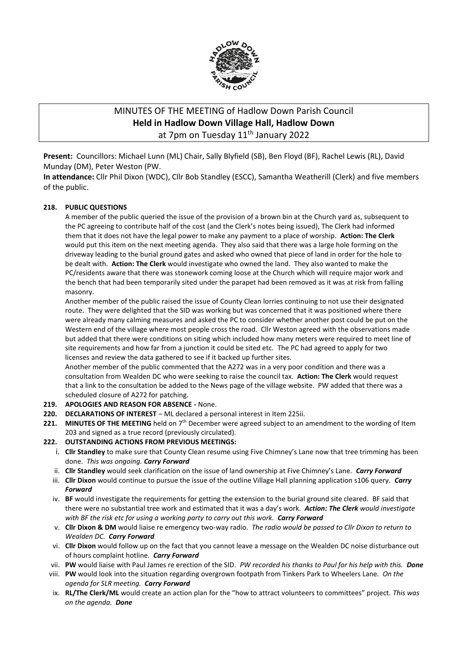

# MINUTES OF THE MEETING of Hadlow Down Parish Council **Held in Hadlow Down Village Hall, Hadlow Down** at 7pm on Tuesday 11<sup>th</sup> January 2022

**Present:** Councillors: Michael Lunn (ML) Chair, Sally Blyfield (SB), Ben Floyd (BF), Rachel Lewis (RL), David Munday (DM), Peter Weston (PW.

**In attendance:** Cllr Phil Dixon (WDC), Cllr Bob Standley (ESCC), Samantha Weatherill (Clerk) and five members of the public.

#### **218. PUBLIC QUESTIONS**

A member of the public queried the issue of the provision of a brown bin at the Church yard as, subsequent to the PC agreeing to contribute half of the cost (and the Clerk's notes being issued), The Clerk had informed them that it does not have the legal power to make any payment to a place of worship. **Action: The Clerk** would put this item on the next meeting agenda. They also said that there was a large hole forming on the driveway leading to the burial ground gates and asked who owned that piece of land in order for the hole to be dealt with. **Action: The Clerk** would investigate who owned the land. They also wanted to make the PC/residents aware that there was stonework coming loose at the Church which will require major work and the bench that had been temporarily sited under the parapet had been removed as it was at risk from falling masonry.

Another member of the public raised the issue of County Clean lorries continuing to not use their designated route. They were delighted that the SID was working but was concerned that it was positioned where there were already many calming measures and asked the PC to consider whether another post could be put on the Western end of the village where most people cross the road. Cllr Weston agreed with the observations made but added that there were conditions on siting which included how many meters were required to meet line of site requirements and how far from a junction it could be sited etc. The PC had agreed to apply for two licenses and review the data gathered to see if it backed up further sites.

Another member of the public commented that the A272 was in a very poor condition and there was a consultation from Wealden DC who were seeking to raise the council tax. **Action: The Clerk** would request that a link to the consultation be added to the News page of the village website. PW added that there was a scheduled closure of A272 for patching.

- **219. APOLOGIES AND REASON FOR ABSENCE -** None.
- **220. DECLARATIONS OF INTEREST** ML declared a personal interest in Item 225ii.
- **221. MINUTES OF THE MEETING** held on 7th December were agreed subject to an amendment to the wording of Item 203 and signed as a true record (previously circulated).

#### **222. OUTSTANDING ACTIONS FROM PREVIOUS MEETINGS:**

- i. **Cllr Standley** to make sure that County Clean resume using Five Chimney's Lane now that tree trimming has been done. *This was ongoing. Carry Forward*
- ii. **Cllr Standley** would seek clarification on the issue of land ownership at Five Chimney's Lane. *Carry Forward*
- iii. **Cllr Dixon** would continue to pursue the issue of the outline Village Hall planning application s106 query. *Carry Forward*
- iv. **BF** would investigate the requirements for getting the extension to the burial ground site cleared. BF said that there were no substantial tree work and estimated that it was a day's work. *Action: The Clerk would investigate with BF the risk etc for using a working party to carry out this work. Carry Forward*
- v. **Cllr Dixon & DM** would liaise re emergency two-way radio. *The radio would be passed to Cllr Dixon to return to Wealden DC. Carry Forward*
- vi. **Cllr Dixon** would follow up on the fact that you cannot leave a message on the Wealden DC noise disturbance out of hours complaint hotline. *Carry Forward*
- vii. **PW** would liaise with Paul James re erection of the SID. *PW recorded his thanks to Paul for his help with this. Done*
- viii. **PW** would look into the situation regarding overgrown footpath from Tinkers Park to Wheelers Lane. *On the agenda for SLR meeting. Carry Forward*
- ix. **RL/The Clerk/ML** would create an action plan for the "how to attract volunteers to committees" project. *This was on the agenda. Done*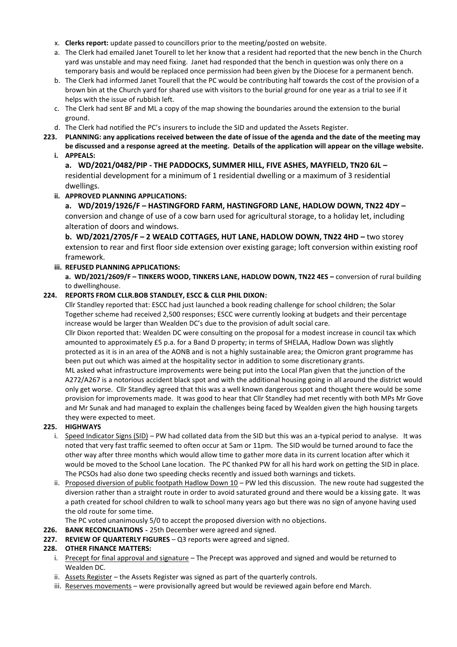- x. **Clerks report:** update passed to councillors prior to the meeting/posted on website.
- a. The Clerk had emailed Janet Tourell to let her know that a resident had reported that the new bench in the Church yard was unstable and may need fixing. Janet had responded that the bench in question was only there on a temporary basis and would be replaced once permission had been given by the Diocese for a permanent bench.
- b. The Clerk had informed Janet Tourell that the PC would be contributing half towards the cost of the provision of a brown bin at the Church yard for shared use with visitors to the burial ground for one year as a trial to see if it helps with the issue of rubbish left.
- c. The Clerk had sent BF and ML a copy of the map showing the boundaries around the extension to the burial ground.
- d. The Clerk had notified the PC's insurers to include the SID and updated the Assets Register.
- **223. PLANNING: any applications received between the date of issue of the agenda and the date of the meeting may be discussed and a response agreed at the meeting. Details of the application will appear on the village website.** 
	- **i. APPEALS:**

**a. WD/2021/0482/PIP - THE PADDOCKS, SUMMER HILL, FIVE ASHES, MAYFIELD, TN20 6JL –** residential development for a minimum of 1 residential dwelling or a maximum of 3 residential dwellings.

## **ii. APPROVED PLANNING APPLICATIONS:**

**a. WD/2019/1926/F – HASTINGFORD FARM, HASTINGFORD LANE, HADLOW DOWN, TN22 4DY –** conversion and change of use of a cow barn used for agricultural storage, to a holiday let, including alteration of doors and windows.

**b. WD/2021/2705/F – 2 WEALD COTTAGES, HUT LANE, HADLOW DOWN, TN22 4HD –** two storey extension to rear and first floor side extension over existing garage; loft conversion within existing roof framework.

## **iii. REFUSED PLANNING APPLICATIONS:**

**a. WD/2021/2609/F – TINKERS WOOD, TINKERS LANE, HADLOW DOWN, TN22 4ES –** conversion of rural building to dwellinghouse.

#### **224. REPORTS FROM CLLR.BOB STANDLEY, ESCC & CLLR PHIL DIXON:**

Cllr Standley reported that: ESCC had just launched a book reading challenge for school children; the Solar Together scheme had received 2,500 responses; ESCC were currently looking at budgets and their percentage increase would be larger than Wealden DC's due to the provision of adult social care.

Cllr Dixon reported that: Wealden DC were consulting on the proposal for a modest increase in council tax which amounted to approximately £5 p.a. for a Band D property; in terms of SHELAA, Hadlow Down was slightly protected as it is in an area of the AONB and is not a highly sustainable area; the Omicron grant programme has been put out which was aimed at the hospitality sector in addition to some discretionary grants.

ML asked what infrastructure improvements were being put into the Local Plan given that the junction of the A272/A267 is a notorious accident black spot and with the additional housing going in all around the district would only get worse. Cllr Standley agreed that this was a well known dangerous spot and thought there would be some provision for improvements made. It was good to hear that Cllr Standley had met recently with both MPs Mr Gove and Mr Sunak and had managed to explain the challenges being faced by Wealden given the high housing targets they were expected to meet.

#### **225. HIGHWAYS**

- i. Speed Indicator Signs (SID) PW had collated data from the SID but this was an a-typical period to analyse. It was noted that very fast traffic seemed to often occur at 5am or 11pm. The SID would be turned around to face the other way after three months which would allow time to gather more data in its current location after which it would be moved to the School Lane location. The PC thanked PW for all his hard work on getting the SID in place. The PCSOs had also done two speeding checks recently and issued both warnings and tickets.
- ii. Proposed diversion of public footpath Hadlow Down  $10 PM$  led this discussion. The new route had suggested the diversion rather than a straight route in order to avoid saturated ground and there would be a kissing gate. It was a path created for school children to walk to school many years ago but there was no sign of anyone having used the old route for some time.

The PC voted unanimously 5/0 to accept the proposed diversion with no objections.

- **226. BANK RECONCILIATIONS -** 25th December were agreed and signed.
- **227. REVIEW OF QUARTERLY FIGURES**  Q3 reports were agreed and signed.

#### **228. OTHER FINANCE MATTERS:**

- i. Precept for final approval and signature The Precept was approved and signed and would be returned to Wealden DC.
- ii. Assets Register the Assets Register was signed as part of the quarterly controls.
- iii. Reserves movements were provisionally agreed but would be reviewed again before end March.